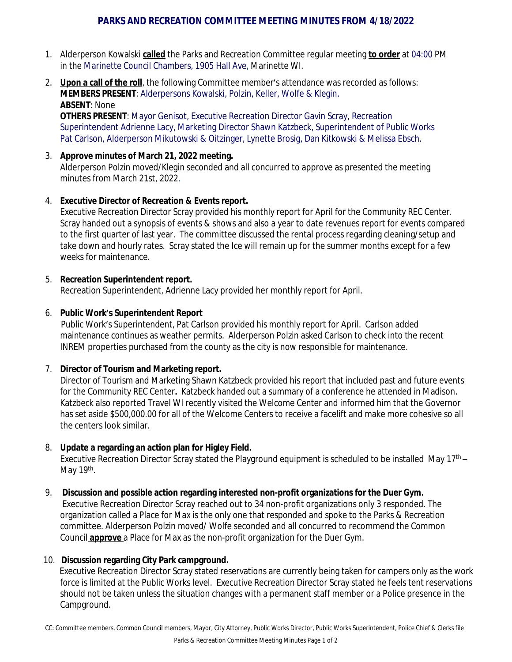# **PARKS AND RECREATION COMMITTEE MEETING MINUTES FROM 4/18/2022**

- 1. Alderperson Kowalski **called** the Parks and Recreation Committee regular meeting **to order** at 04:00 PM in the Marinette Council Chambers, 1905 Hall Ave, Marinette WI.
- 2. **Upon a call of the roll**, the following Committee member's attendance was recorded as follows: **MEMBERS PRESENT**: Alderpersons Kowalski, Polzin, Keller, Wolfe & Klegin. **ABSENT**: None

**OTHERS PRESENT**: Mayor Genisot, Executive Recreation Director Gavin Scray, Recreation Superintendent Adrienne Lacy, Marketing Director Shawn Katzbeck, Superintendent of Public Works Pat Carlson, Alderperson Mikutowski & Oitzinger, Lynette Brosig, Dan Kitkowski & Melissa Ebsch.

3. **Approve minutes of March 21, 2022 meeting.** Alderperson Polzin moved/Klegin seconded and all concurred to approve as presented the meeting minutes from March 21st, 2022.

### 4. **Executive Director of Recreation & Events report.**

Executive Recreation Director Scray provided his monthly report for April for the Community REC Center. Scray handed out a synopsis of events & shows and also a year to date revenues report for events compared to the first quarter of last year. The committee discussed the rental process regarding cleaning/setup and take down and hourly rates. Scray stated the Ice will remain up for the summer months except for a few weeks for maintenance.

### 5. **Recreation Superintendent report.**

Recreation Superintendent, Adrienne Lacy provided her monthly report for April.

### 6. **Public Work's Superintendent Report**

Public Work's Superintendent, Pat Carlson provided his monthly report for April. Carlson added maintenance continues as weather permits. Alderperson Polzin asked Carlson to check into the recent INREM properties purchased from the county as the city is now responsible for maintenance.

## 7. **Director of Tourism and Marketing report.**

Director of Tourism and Marketing Shawn Katzbeck provided his report that included past and future events for the Community REC Center**.** Katzbeck handed out a summary of a conference he attended in Madison. Katzbeck also reported Travel WI recently visited the Welcome Center and informed him that the Governor has set aside \$500,000.00 for all of the Welcome Centers to receive a facelift and make more cohesive so all the centers look similar.

## 8. **Update a regarding an action plan for Higley Field.**

Executive Recreation Director Scray stated the Playground equipment is scheduled to be installed May 17<sup>th</sup> – May 19<sup>th</sup>.

#### 9. **Discussion and possible action regarding interested non-profit organizations for the Duer Gym.**

Executive Recreation Director Scray reached out to 34 non-profit organizations only 3 responded. The organization called a Place for Max is the only one that responded and spoke to the Parks & Recreation committee. Alderperson Polzin moved/ Wolfe seconded and all concurred to recommend the Common Council **approve** a Place for Max as the non-profit organization for the Duer Gym.

## 10. **Discussion regarding City Park campground.**

Executive Recreation Director Scray stated reservations are currently being taken for campers only as the work force is limited at the Public Works level. Executive Recreation Director Scray stated he feels tent reservations should not be taken unless the situation changes with a permanent staff member or a Police presence in the Campground.

CC: Committee members, Common Council members, Mayor, City Attorney, Public Works Director, Public Works Superintendent, Police Chief & Clerks file